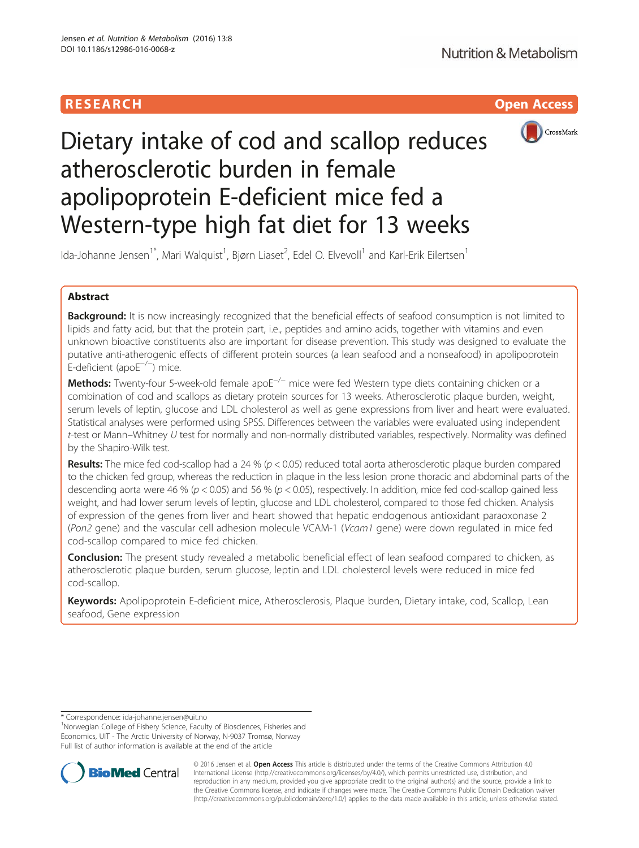# **RESEARCH CHILD CONTROL** CONTROL CONTROL CONTROL CONTROL CONTROL CONTROL CONTROL CONTROL CONTROL CONTROL CONTROL CONTROL CONTROL CONTROL CONTROL CONTROL CONTROL CONTROL CONTROL CONTROL CONTROL CONTROL CONTROL CONTROL CONTR



# Dietary intake of cod and scallop reduces atherosclerotic burden in female apolipoprotein E-deficient mice fed a Western-type high fat diet for 13 weeks

Ida-Johanne Jensen<sup>1\*</sup>, Mari Walquist<sup>1</sup>, Bjørn Liaset<sup>2</sup>, Edel O. Elvevoll<sup>1</sup> and Karl-Erik Eilertsen<sup>1</sup>

# Abstract

**Background:** It is now increasingly recognized that the beneficial effects of seafood consumption is not limited to lipids and fatty acid, but that the protein part, i.e., peptides and amino acids, together with vitamins and even unknown bioactive constituents also are important for disease prevention. This study was designed to evaluate the putative anti-atherogenic effects of different protein sources (a lean seafood and a nonseafood) in apolipoprotein E-deficient (apoE−/<sup>−</sup> ) mice.

Methods: Twenty-four 5-week-old female apoE<sup>−/−</sup> mice were fed Western type diets containing chicken or a combination of cod and scallops as dietary protein sources for 13 weeks. Atherosclerotic plaque burden, weight, serum levels of leptin, glucose and LDL cholesterol as well as gene expressions from liver and heart were evaluated. Statistical analyses were performed using SPSS. Differences between the variables were evaluated using independent t-test or Mann–Whitney U test for normally and non-normally distributed variables, respectively. Normality was defined by the Shapiro-Wilk test.

**Results:** The mice fed cod-scallop had a 24 % ( $p < 0.05$ ) reduced total aorta atherosclerotic plaque burden compared to the chicken fed group, whereas the reduction in plaque in the less lesion prone thoracic and abdominal parts of the descending aorta were 46 % ( $p < 0.05$ ) and 56 % ( $p < 0.05$ ), respectively. In addition, mice fed cod-scallop gained less weight, and had lower serum levels of leptin, glucose and LDL cholesterol, compared to those fed chicken. Analysis of expression of the genes from liver and heart showed that hepatic endogenous antioxidant paraoxonase 2 (Pon2 gene) and the vascular cell adhesion molecule VCAM-1 (Vcam1 gene) were down regulated in mice fed cod-scallop compared to mice fed chicken.

Conclusion: The present study revealed a metabolic beneficial effect of lean seafood compared to chicken, as atherosclerotic plaque burden, serum glucose, leptin and LDL cholesterol levels were reduced in mice fed cod-scallop.

Keywords: Apolipoprotein E-deficient mice, Atherosclerosis, Plaque burden, Dietary intake, cod, Scallop, Lean seafood, Gene expression

\* Correspondence: [ida-johanne.jensen@uit.no](mailto:ida-johanne.jensen@uit.no) <sup>1</sup>

<sup>1</sup>Norwegian College of Fishery Science, Faculty of Biosciences, Fisheries and Economics, UIT - The Arctic University of Norway, N-9037 Tromsø, Norway Full list of author information is available at the end of the article



© 2016 Jensen et al. Open Access This article is distributed under the terms of the Creative Commons Attribution 4.0 International License [\(http://creativecommons.org/licenses/by/4.0/](http://creativecommons.org/licenses/by/4.0/)), which permits unrestricted use, distribution, and reproduction in any medium, provided you give appropriate credit to the original author(s) and the source, provide a link to the Creative Commons license, and indicate if changes were made. The Creative Commons Public Domain Dedication waiver [\(http://creativecommons.org/publicdomain/zero/1.0/](http://creativecommons.org/publicdomain/zero/1.0/)) applies to the data made available in this article, unless otherwise stated.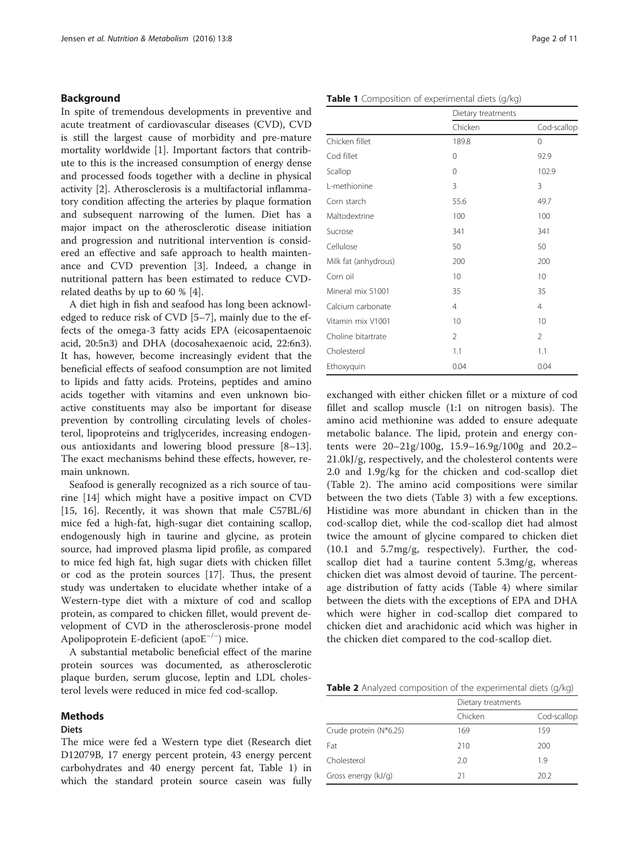#### Background

In spite of tremendous developments in preventive and acute treatment of cardiovascular diseases (CVD), CVD is still the largest cause of morbidity and pre-mature mortality worldwide [\[1\]](#page-9-0). Important factors that contribute to this is the increased consumption of energy dense and processed foods together with a decline in physical activity [\[2](#page-9-0)]. Atherosclerosis is a multifactorial inflammatory condition affecting the arteries by plaque formation and subsequent narrowing of the lumen. Diet has a major impact on the atherosclerotic disease initiation and progression and nutritional intervention is considered an effective and safe approach to health maintenance and CVD prevention [[3\]](#page-9-0). Indeed, a change in nutritional pattern has been estimated to reduce CVDrelated deaths by up to 60 % [[4](#page-9-0)].

A diet high in fish and seafood has long been acknowledged to reduce risk of CVD [[5](#page-9-0)–[7](#page-9-0)], mainly due to the effects of the omega-3 fatty acids EPA (eicosapentaenoic acid, 20:5n3) and DHA (docosahexaenoic acid, 22:6n3). It has, however, become increasingly evident that the beneficial effects of seafood consumption are not limited to lipids and fatty acids. Proteins, peptides and amino acids together with vitamins and even unknown bioactive constituents may also be important for disease prevention by controlling circulating levels of cholesterol, lipoproteins and triglycerides, increasing endogenous antioxidants and lowering blood pressure [[8](#page-9-0)–[13](#page-9-0)]. The exact mechanisms behind these effects, however, remain unknown.

Seafood is generally recognized as a rich source of taurine [\[14](#page-9-0)] which might have a positive impact on CVD [[15, 16](#page-9-0)]. Recently, it was shown that male C57BL/6J mice fed a high-fat, high-sugar diet containing scallop, endogenously high in taurine and glycine, as protein source, had improved plasma lipid profile, as compared to mice fed high fat, high sugar diets with chicken fillet or cod as the protein sources [\[17](#page-9-0)]. Thus, the present study was undertaken to elucidate whether intake of a Western-type diet with a mixture of cod and scallop protein, as compared to chicken fillet, would prevent development of CVD in the atherosclerosis-prone model Apolipoprotein E-deficient (apoE−/<sup>−</sup> ) mice.

A substantial metabolic beneficial effect of the marine protein sources was documented, as atherosclerotic plaque burden, serum glucose, leptin and LDL cholesterol levels were reduced in mice fed cod-scallop.

#### Methods

#### **Diets**

The mice were fed a Western type diet (Research diet D12079B, 17 energy percent protein, 43 energy percent carbohydrates and 40 energy percent fat, Table 1) in which the standard protein source casein was fully

|                      | Dietary treatments |                |  |
|----------------------|--------------------|----------------|--|
|                      | Chicken            | Cod-scallop    |  |
| Chicken fillet       | 189.8              | 0              |  |
| Cod fillet           | 0                  | 92.9           |  |
| Scallop              | $\Omega$           | 102.9          |  |
| L-methionine         | 3                  | 3              |  |
| Corn starch          | 55.6               | 49.7           |  |
| Maltodextrine        | 100                | 100            |  |
| Sucrose              | 341                | 341            |  |
| Cellulose            | 50                 | 50             |  |
| Milk fat (anhydrous) | 200                | 200            |  |
| Corn oil             | 10                 | 10             |  |
| Mineral mix S1001    | 35                 | 35             |  |
| Calcium carbonate    | $\overline{4}$     | $\overline{4}$ |  |
| Vitamin mix V1001    | 10                 | 10             |  |
| Choline bitartrate   | $\overline{2}$     | $\overline{2}$ |  |
| Cholesterol          | 1.1                | 1.1            |  |
| Ethoxyquin           | 0.04               | 0.04           |  |

exchanged with either chicken fillet or a mixture of cod fillet and scallop muscle (1:1 on nitrogen basis). The amino acid methionine was added to ensure adequate metabolic balance. The lipid, protein and energy contents were 20–21g/100g, 15.9–16.9g/100g and 20.2– 21.0kJ/g, respectively, and the cholesterol contents were 2.0 and 1.9g/kg for the chicken and cod-scallop diet (Table 2). The amino acid compositions were similar between the two diets (Table [3\)](#page-2-0) with a few exceptions. Histidine was more abundant in chicken than in the cod-scallop diet, while the cod-scallop diet had almost twice the amount of glycine compared to chicken diet (10.1 and 5.7mg/g, respectively). Further, the codscallop diet had a taurine content 5.3mg/g, whereas chicken diet was almost devoid of taurine. The percentage distribution of fatty acids (Table [4\)](#page-2-0) where similar between the diets with the exceptions of EPA and DHA which were higher in cod-scallop diet compared to chicken diet and arachidonic acid which was higher in the chicken diet compared to the cod-scallop diet.

Table 2 Analyzed composition of the experimental diets (g/kg)

| Dietary treatments |             |
|--------------------|-------------|
| Chicken            | Cod-scallop |
| 169                | 159         |
| 210                | 200         |
| 2.0                | 19          |
| 21                 | 20.2        |
|                    |             |

#### Table 1 Composition of experimental diets (g/kg)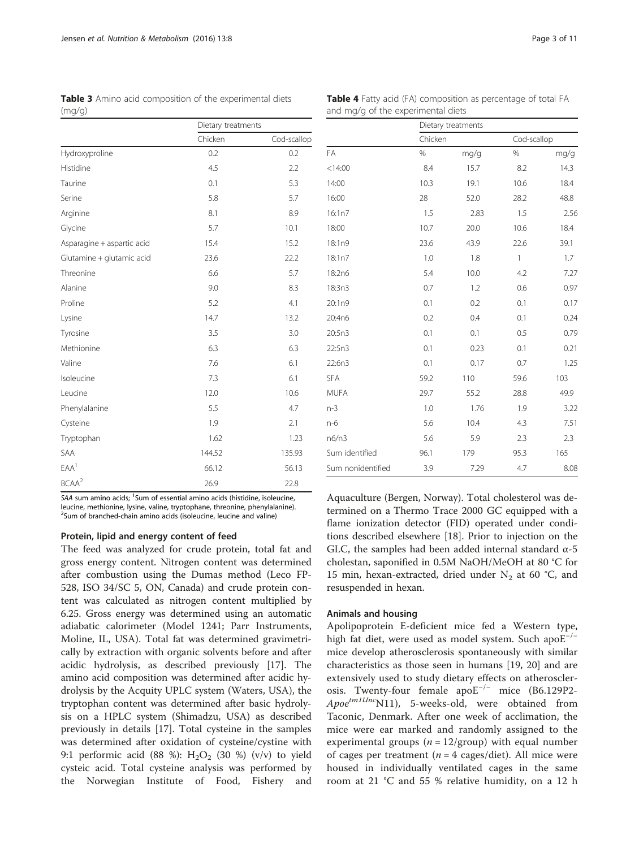<span id="page-2-0"></span>Table 3 Amino acid composition of the experimental diets (mg/g)

| Table 4 Fatty acid (FA) composition as percentage of total FA |  |
|---------------------------------------------------------------|--|
| and mg/g of the experimental diets                            |  |

|                            | Dietary treatments |             |
|----------------------------|--------------------|-------------|
|                            | Chicken            | Cod-scallop |
| Hydroxyproline             | 0.2                | 0.2         |
| Histidine                  | 4.5                | 2.2         |
| Taurine                    | 0.1                | 5.3         |
| Serine                     | 5.8                | 5.7         |
| Arginine                   | 8.1                | 8.9         |
| Glycine                    | 5.7                | 10.1        |
| Asparagine + aspartic acid | 15.4               | 15.2        |
| Glutamine + glutamic acid  | 23.6               | 22.2        |
| Threonine                  | 6.6                | 5.7         |
| Alanine                    | 9.0                | 8.3         |
| Proline                    | 5.2                | 4.1         |
| Lysine                     | 14.7               | 13.2        |
| Tyrosine                   | 3.5                | 3.0         |
| Methionine                 | 6.3                | 6.3         |
| Valine                     | 7.6                | 6.1         |
| Isoleucine                 | 7.3                | 6.1         |
| Leucine                    | 12.0               | 10.6        |
| Phenylalanine              | 5.5                | 4.7         |
| Cysteine                   | 1.9                | 2.1         |
| Tryptophan                 | 1.62               | 1.23        |
| SAA                        | 144.52             | 135.93      |
| EAA <sup>1</sup>           | 66.12              | 56.13       |
| BCAA <sup>2</sup>          | 26.9               | 22.8        |

SAA sum amino acids; <sup>1</sup>Sum of essential amino acids (histidine, isoleucine, leucine, methionine, lysine, valine, tryptophane, threonine, phenylalanine). <sup>2</sup>Sum of branched-chain amino acids (isoleucine, leucine and valine)

#### Protein, lipid and energy content of feed

The feed was analyzed for crude protein, total fat and gross energy content. Nitrogen content was determined after combustion using the Dumas method (Leco FP-528, ISO 34/SC 5, ON, Canada) and crude protein content was calculated as nitrogen content multiplied by 6.25. Gross energy was determined using an automatic adiabatic calorimeter (Model 1241; Parr Instruments, Moline, IL, USA). Total fat was determined gravimetrically by extraction with organic solvents before and after acidic hydrolysis, as described previously [[17\]](#page-9-0). The amino acid composition was determined after acidic hydrolysis by the Acquity UPLC system (Waters, USA), the tryptophan content was determined after basic hydrolysis on a HPLC system (Shimadzu, USA) as described previously in details [[17](#page-9-0)]. Total cysteine in the samples was determined after oxidation of cysteine/cystine with 9:1 performic acid (88 %):  $H_2O_2$  (30 %) (v/v) to yield cysteic acid. Total cysteine analysis was performed by the Norwegian Institute of Food, Fishery and

|                   | Dietary treatments |      |              |      |
|-------------------|--------------------|------|--------------|------|
|                   | Chicken            |      | Cod-scallop  |      |
| FA                | $\%$               | mg/g | $\%$         | mg/g |
| < 14:00           | 8.4                | 15.7 | 8.2          | 14.3 |
| 14:00             | 10.3               | 19.1 | 10.6         | 18.4 |
| 16:00             | 28                 | 52.0 | 28.2         | 48.8 |
| 16:1n7            | 1.5                | 2.83 | 1.5          | 2.56 |
| 18:00             | 10.7               | 20.0 | 10.6         | 18.4 |
| 18:1n9            | 23.6               | 43.9 | 22.6         | 39.1 |
| 18:1n7            | 1.0                | 1.8  | $\mathbf{1}$ | 1.7  |
| 18:2n6            | 5.4                | 10.0 | 4.2          | 7.27 |
| 18:3n3            | 0.7                | 1.2  | 0.6          | 0.97 |
| 20:1n9            | 0.1                | 0.2  | 0.1          | 0.17 |
| 20:4n6            | 0.2                | 0.4  | 0.1          | 0.24 |
| 20:5n3            | 0.1                | 0.1  | 0.5          | 0.79 |
| 22:5n3            | 0.1                | 0.23 | 0.1          | 0.21 |
| 22:6n3            | 0.1                | 0.17 | 0.7          | 1.25 |
| <b>SFA</b>        | 59.2               | 110  | 59.6         | 103  |
| <b>MUFA</b>       | 29.7               | 55.2 | 28.8         | 49.9 |
| $n-3$             | 1.0                | 1.76 | 1.9          | 3.22 |
| n-6               | 5.6                | 10.4 | 4.3          | 7.51 |
| n6/n3             | 5.6                | 5.9  | 2.3          | 2.3  |
| Sum identified    | 96.1               | 179  | 95.3         | 165  |
| Sum nonidentified | 3.9                | 7.29 | 4.7          | 8.08 |

Aquaculture (Bergen, Norway). Total cholesterol was determined on a Thermo Trace 2000 GC equipped with a flame ionization detector (FID) operated under conditions described elsewhere [\[18](#page-9-0)]. Prior to injection on the GLC, the samples had been added internal standard  $\alpha$ -5 cholestan, saponified in 0.5M NaOH/MeOH at 80 °C for 15 min, hexan-extracted, dried under  $N_2$  at 60 °C, and resuspended in hexan.

#### Animals and housing

Apolipoprotein E-deficient mice fed a Western type, high fat diet, were used as model system. Such apoE−/<sup>−</sup> mice develop atherosclerosis spontaneously with similar characteristics as those seen in humans [[19](#page-9-0), [20\]](#page-9-0) and are extensively used to study dietary effects on atherosclerosis. Twenty-four female apoE−/<sup>−</sup> mice (B6.129P2-  $A poe^{tm1Unc}$ N11), 5-weeks-old, were obtained from Taconic, Denmark. After one week of acclimation, the mice were ear marked and randomly assigned to the experimental groups ( $n = 12$ /group) with equal number of cages per treatment ( $n = 4$  cages/diet). All mice were housed in individually ventilated cages in the same room at 21 °C and 55 % relative humidity, on a 12 h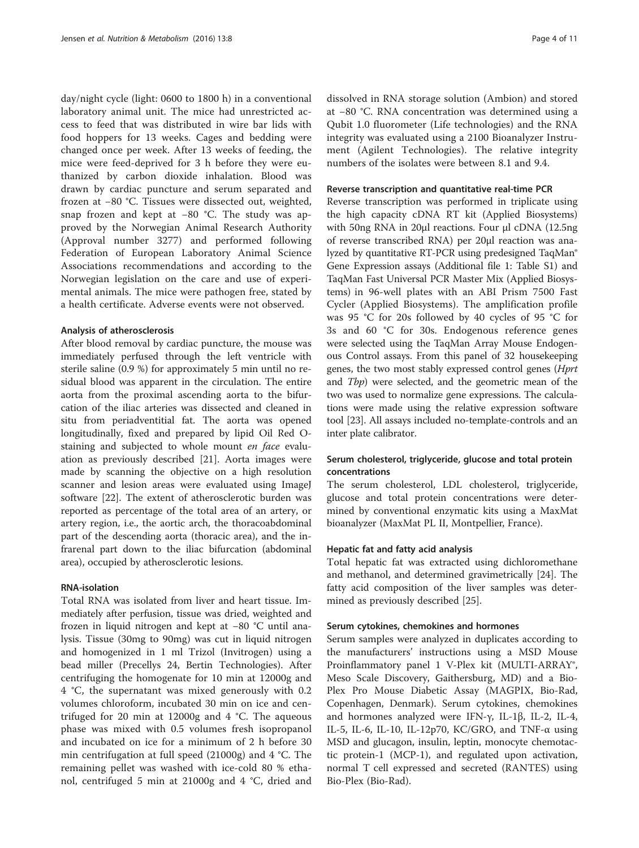day/night cycle (light: 0600 to 1800 h) in a conventional laboratory animal unit. The mice had unrestricted access to feed that was distributed in wire bar lids with food hoppers for 13 weeks. Cages and bedding were changed once per week. After 13 weeks of feeding, the mice were feed-deprived for 3 h before they were euthanized by carbon dioxide inhalation. Blood was drawn by cardiac puncture and serum separated and frozen at −80 °C. Tissues were dissected out, weighted, snap frozen and kept at −80 °C. The study was approved by the Norwegian Animal Research Authority (Approval number 3277) and performed following Federation of European Laboratory Animal Science Associations recommendations and according to the Norwegian legislation on the care and use of experimental animals. The mice were pathogen free, stated by a health certificate. Adverse events were not observed.

#### Analysis of atherosclerosis

After blood removal by cardiac puncture, the mouse was immediately perfused through the left ventricle with sterile saline (0.9 %) for approximately 5 min until no residual blood was apparent in the circulation. The entire aorta from the proximal ascending aorta to the bifurcation of the iliac arteries was dissected and cleaned in situ from periadventitial fat. The aorta was opened longitudinally, fixed and prepared by lipid Oil Red Ostaining and subjected to whole mount en face evaluation as previously described [[21](#page-9-0)]. Aorta images were made by scanning the objective on a high resolution scanner and lesion areas were evaluated using ImageJ software [\[22\]](#page-9-0). The extent of atherosclerotic burden was reported as percentage of the total area of an artery, or artery region, i.e., the aortic arch, the thoracoabdominal part of the descending aorta (thoracic area), and the infrarenal part down to the iliac bifurcation (abdominal area), occupied by atherosclerotic lesions.

#### RNA-isolation

Total RNA was isolated from liver and heart tissue. Immediately after perfusion, tissue was dried, weighted and frozen in liquid nitrogen and kept at −80 °C until analysis. Tissue (30mg to 90mg) was cut in liquid nitrogen and homogenized in 1 ml Trizol (Invitrogen) using a bead miller (Precellys 24, Bertin Technologies). After centrifuging the homogenate for 10 min at 12000g and 4 °C, the supernatant was mixed generously with 0.2 volumes chloroform, incubated 30 min on ice and centrifuged for 20 min at 12000g and 4 °C. The aqueous phase was mixed with 0.5 volumes fresh isopropanol and incubated on ice for a minimum of 2 h before 30 min centrifugation at full speed (21000g) and 4 °C. The remaining pellet was washed with ice-cold 80 % ethanol, centrifuged 5 min at 21000g and 4 °C, dried and

dissolved in RNA storage solution (Ambion) and stored at −80 °C. RNA concentration was determined using a Qubit 1.0 fluorometer (Life technologies) and the RNA integrity was evaluated using a 2100 Bioanalyzer Instrument (Agilent Technologies). The relative integrity numbers of the isolates were between 8.1 and 9.4.

#### Reverse transcription and quantitative real-time PCR

Reverse transcription was performed in triplicate using the high capacity cDNA RT kit (Applied Biosystems) with 50ng RNA in 20μl reactions. Four μl cDNA (12.5ng of reverse transcribed RNA) per 20μl reaction was analyzed by quantitative RT-PCR using predesigned TaqMan® Gene Expression assays (Additional file [1](#page-9-0): Table S1) and TaqMan Fast Universal PCR Master Mix (Applied Biosystems) in 96-well plates with an ABI Prism 7500 Fast Cycler (Applied Biosystems). The amplification profile was 95 °C for 20s followed by 40 cycles of 95 °C for 3s and 60 °C for 30s. Endogenous reference genes were selected using the TaqMan Array Mouse Endogenous Control assays. From this panel of 32 housekeeping genes, the two most stably expressed control genes (Hprt and Tbp) were selected, and the geometric mean of the two was used to normalize gene expressions. The calculations were made using the relative expression software tool [\[23](#page-9-0)]. All assays included no-template-controls and an inter plate calibrator.

# Serum cholesterol, triglyceride, glucose and total protein concentrations

The serum cholesterol, LDL cholesterol, triglyceride, glucose and total protein concentrations were determined by conventional enzymatic kits using a MaxMat bioanalyzer (MaxMat PL II, Montpellier, France).

## Hepatic fat and fatty acid analysis

Total hepatic fat was extracted using dichloromethane and methanol, and determined gravimetrically [[24](#page-9-0)]. The fatty acid composition of the liver samples was determined as previously described [\[25\]](#page-9-0).

#### Serum cytokines, chemokines and hormones

Serum samples were analyzed in duplicates according to the manufacturers' instructions using a MSD Mouse Proinflammatory panel 1 V-Plex kit (MULTI-ARRAY®, Meso Scale Discovery, Gaithersburg, MD) and a Bio-Plex Pro Mouse Diabetic Assay (MAGPIX, Bio-Rad, Copenhagen, Denmark). Serum cytokines, chemokines and hormones analyzed were IFN-γ, IL-1β, IL-2, IL-4, IL-5, IL-6, IL-10, IL-12p70, KC/GRO, and TNF-α using MSD and glucagon, insulin, leptin, monocyte chemotactic protein-1 (MCP-1), and regulated upon activation, normal T cell expressed and secreted (RANTES) using Bio-Plex (Bio-Rad).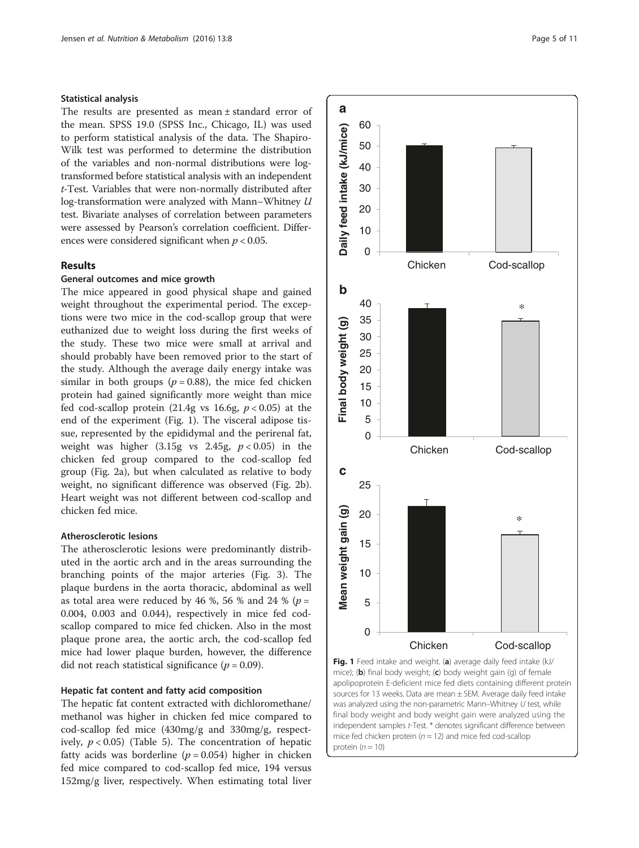# Statistical analysis

The results are presented as mean ± standard error of the mean. SPSS 19.0 (SPSS Inc., Chicago, IL) was used to perform statistical analysis of the data. The Shapiro-Wilk test was performed to determine the distribution of the variables and non-normal distributions were logtransformed before statistical analysis with an independent t-Test. Variables that were non-normally distributed after log-transformation were analyzed with Mann–Whitney U test. Bivariate analyses of correlation between parameters were assessed by Pearson's correlation coefficient. Differences were considered significant when  $p < 0.05$ .

## Results

#### General outcomes and mice growth

The mice appeared in good physical shape and gained weight throughout the experimental period. The exceptions were two mice in the cod-scallop group that were euthanized due to weight loss during the first weeks of the study. These two mice were small at arrival and should probably have been removed prior to the start of the study. Although the average daily energy intake was similar in both groups ( $p = 0.88$ ), the mice fed chicken protein had gained significantly more weight than mice fed cod-scallop protein (21.4g vs 16.6g,  $p < 0.05$ ) at the end of the experiment (Fig. 1). The visceral adipose tissue, represented by the epididymal and the perirenal fat, weight was higher  $(3.15g \text{ vs } 2.45g, p < 0.05)$  in the chicken fed group compared to the cod-scallop fed group (Fig. [2a\)](#page-5-0), but when calculated as relative to body weight, no significant difference was observed (Fig. [2b](#page-5-0)). Heart weight was not different between cod-scallop and chicken fed mice.

#### Atherosclerotic lesions

The atherosclerotic lesions were predominantly distributed in the aortic arch and in the areas surrounding the branching points of the major arteries (Fig. [3\)](#page-6-0). The plaque burdens in the aorta thoracic, abdominal as well as total area were reduced by 46 %, 56 % and 24 % ( $p =$ 0.004, 0.003 and 0.044), respectively in mice fed codscallop compared to mice fed chicken. Also in the most plaque prone area, the aortic arch, the cod-scallop fed mice had lower plaque burden, however, the difference did not reach statistical significance ( $p = 0.09$ ).

## Hepatic fat content and fatty acid composition

The hepatic fat content extracted with dichloromethane/ methanol was higher in chicken fed mice compared to cod-scallop fed mice (430mg/g and 330mg/g, respectively,  $p < 0.05$ ) (Table [5\)](#page-6-0). The concentration of hepatic fatty acids was borderline ( $p = 0.054$ ) higher in chicken fed mice compared to cod-scallop fed mice, 194 versus 152mg/g liver, respectively. When estimating total liver



apolipoprotein E-deficient mice fed diets containing different protein sources for 13 weeks. Data are mean ± SEM. Average daily feed intake was analyzed using the non-parametric Mann–Whitney U test, while final body weight and body weight gain were analyzed using the independent samples t-Test. \* denotes significant difference between mice fed chicken protein ( $n = 12$ ) and mice fed cod-scallop protein  $(n = 10)$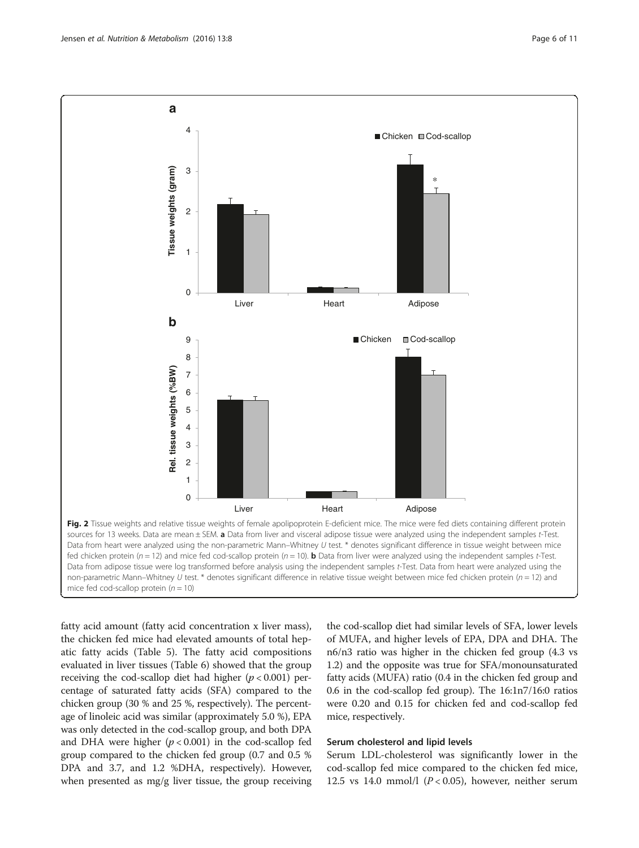<span id="page-5-0"></span>

fatty acid amount (fatty acid concentration x liver mass), the chicken fed mice had elevated amounts of total hepatic fatty acids (Table [5\)](#page-6-0). The fatty acid compositions evaluated in liver tissues (Table [6](#page-6-0)) showed that the group receiving the cod-scallop diet had higher ( $p < 0.001$ ) percentage of saturated fatty acids (SFA) compared to the chicken group (30 % and 25 %, respectively). The percentage of linoleic acid was similar (approximately 5.0 %), EPA was only detected in the cod-scallop group, and both DPA and DHA were higher  $(p < 0.001)$  in the cod-scallop fed group compared to the chicken fed group (0.7 and 0.5 % DPA and 3.7, and 1.2 %DHA, respectively). However, when presented as mg/g liver tissue, the group receiving

the cod-scallop diet had similar levels of SFA, lower levels of MUFA, and higher levels of EPA, DPA and DHA. The n6/n3 ratio was higher in the chicken fed group (4.3 vs 1.2) and the opposite was true for SFA/monounsaturated fatty acids (MUFA) ratio (0.4 in the chicken fed group and 0.6 in the cod-scallop fed group). The 16:1n7/16:0 ratios were 0.20 and 0.15 for chicken fed and cod-scallop fed mice, respectively.

#### Serum cholesterol and lipid levels

Serum LDL-cholesterol was significantly lower in the cod-scallop fed mice compared to the chicken fed mice, 12.5 vs 14.0 mmol/l  $(P < 0.05)$ , however, neither serum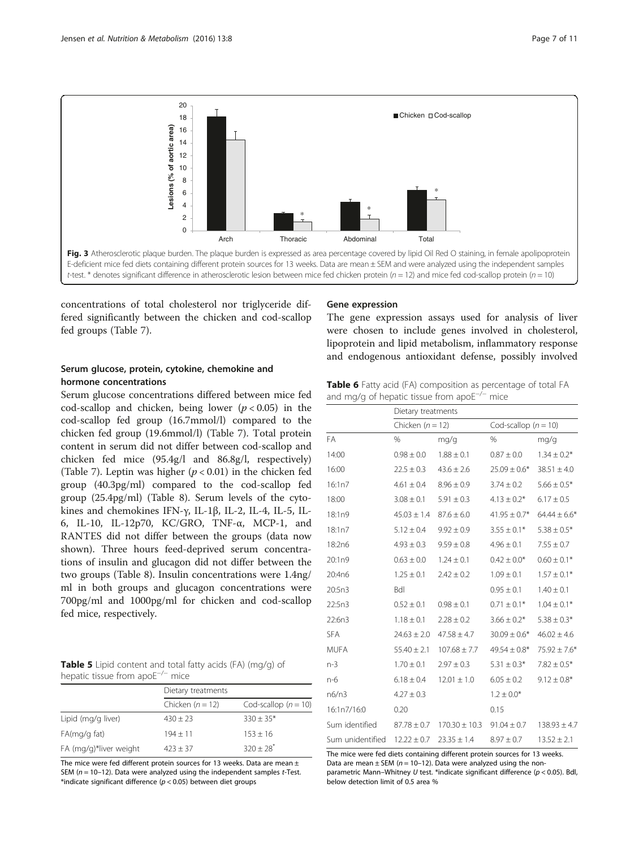<span id="page-6-0"></span>![](_page_6_Figure_2.jpeg)

concentrations of total cholesterol nor triglyceride differed significantly between the chicken and cod-scallop fed groups (Table [7](#page-7-0)).

# Serum glucose, protein, cytokine, chemokine and hormone concentrations

Serum glucose concentrations differed between mice fed cod-scallop and chicken, being lower  $(p < 0.05)$  in the cod-scallop fed group (16.7mmol/l) compared to the chicken fed group (19.6mmol/l) (Table [7\)](#page-7-0). Total protein content in serum did not differ between cod-scallop and chicken fed mice (95.4g/l and 86.8g/l, respectively) (Table [7](#page-7-0)). Leptin was higher ( $p < 0.01$ ) in the chicken fed group (40.3pg/ml) compared to the cod-scallop fed group (25.4pg/ml) (Table [8](#page-7-0)). Serum levels of the cytokines and chemokines IFN-γ, IL-1β, IL-2, IL-4, IL-5, IL-6, IL-10, IL-12p70, KC/GRO, TNF-α, MCP-1, and RANTES did not differ between the groups (data now shown). Three hours feed-deprived serum concentrations of insulin and glucagon did not differ between the two groups (Table [8](#page-7-0)). Insulin concentrations were 1.4ng/ ml in both groups and glucagon concentrations were 700pg/ml and 1000pg/ml for chicken and cod-scallop fed mice, respectively.

| Table 5 Lipid content and total fatty acids (FA) (mg/g) of |  |
|------------------------------------------------------------|--|
| hepatic tissue from apo $E^{-/-}$ mice                     |  |

|                        | Dietary treatments |                          |  |
|------------------------|--------------------|--------------------------|--|
|                        | Chicken $(n = 12)$ | Cod-scallop ( $n = 10$ ) |  |
| Lipid (mg/g liver)     | $430 \pm 23$       | $330 \pm 35*$            |  |
| FA(mq/q fat)           | $194 + 11$         | $153 \pm 16$             |  |
| FA (mg/g)*liver weight | $423 + 37$         | $320 + 28$ <sup>*</sup>  |  |

The mice were fed different protein sources for 13 weeks. Data are mean  $\pm$ SEM  $(n = 10-12)$ . Data were analyzed using the independent samples t-Test. \*indicate significant difference ( $p < 0.05$ ) between diet groups

#### Gene expression

The gene expression assays used for analysis of liver were chosen to include genes involved in cholesterol, lipoprotein and lipid metabolism, inflammatory response and endogenous antioxidant defense, possibly involved

Table 6 Fatty acid (FA) composition as percentage of total FA and mg/g of hepatic tissue from apoE−/<sup>−</sup> mice

|                    | Dietary treatments |                                   |                   |                  |
|--------------------|--------------------|-----------------------------------|-------------------|------------------|
| Chicken $(n = 12)$ |                    | Cod-scallop $(n = 10)$            |                   |                  |
| FA                 | %                  | mg/g                              | $\frac{0}{0}$     | mg/g             |
| 14:00              | $0.98 \pm 0.0$     | $1.88 \pm 0.1$                    | $0.87 \pm 0.0$    | $1.34 \pm 0.2*$  |
| 16:00              | $22.5 \pm 0.3$     | $43.6 \pm 2.6$                    | $25.09 \pm 0.6*$  | $38.51 \pm 4.0$  |
| 16:1n7             | $4.61 \pm 0.4$     | $8.96 \pm 0.9$                    | $3.74 \pm 0.2$    | $5.66 \pm 0.5*$  |
| 18:00              | $3.08 \pm 0.1$     | $5.91 \pm 0.3$                    | $4.13 \pm 0.2$ *  | $6.17 \pm 0.5$   |
| 18:1n9             | $45.03 \pm 1.4$    | $87.6 \pm 6.0$                    | $41.95 \pm 0.7$ * | $64.44 \pm 6.6*$ |
| 18:1n7             | $5.12 \pm 0.4$     | $9.92 \pm 0.9$                    | $3.55 \pm 0.1*$   | $5.38 \pm 0.5*$  |
| 18:2n6             | $4.93 \pm 0.3$     | $9.59 \pm 0.8$                    | $4.96 \pm 0.1$    | $7.55 \pm 0.7$   |
| 20:1n9             | $0.63 \pm 0.0$     | $1.24 \pm 0.1$                    | $0.42 \pm 0.0*$   | $0.60 \pm 0.1*$  |
| 20:4n6             | $1.25 \pm 0.1$     | $2.42 \pm 0.2$                    | $1.09 \pm 0.1$    | $1.57 \pm 0.1*$  |
| 20:5n3             | <b>Bdl</b>         |                                   | $0.95 \pm 0.1$    | $1.40 \pm 0.1$   |
| 22:5n3             | $0.52 \pm 0.1$     | $0.98 \pm 0.1$                    | $0.71 \pm 0.1*$   | $1.04 \pm 0.1*$  |
| 22:6n3             | $1.18 \pm 0.1$     | $2.28 \pm 0.2$                    | $3.66 \pm 0.2*$   | $5.38 \pm 0.3*$  |
| <b>SFA</b>         | $24.63 \pm 2.0$    | $47.58 \pm 4.7$                   | $30.09 \pm 0.6*$  | $46.02 \pm 4.6$  |
| <b>MUFA</b>        | $55.40 \pm 2.1$    | $107.68 \pm 7.7$                  | $49.54 \pm 0.8^*$ | $75.92 \pm 7.6*$ |
| $n-3$              | $1.70 \pm 0.1$     | $2.97 \pm 0.3$                    | $5.31 \pm 0.3^*$  | $7.82 \pm 0.5*$  |
| n-6                | $6.18 \pm 0.4$     | $12.01 \pm 1.0$                   | $6.05 \pm 0.2$    | $9.12 \pm 0.8*$  |
| n6/n3              | $4.27 \pm 0.3$     |                                   | $1.2 \pm 0.0*$    |                  |
| 16:1n7/16:0        | 0.20               |                                   | 0.15              |                  |
| Sum identified     |                    | $87.78 \pm 0.7$ 170.30 $\pm$ 10.3 | $91.04 \pm 0.7$   | $138.93 \pm 4.7$ |
| Sum unidentified   | $12.22 \pm 0.7$    | $23.35 \pm 1.4$                   | $8.97 \pm 0.7$    | $13.52 \pm 2.1$  |

The mice were fed diets containing different protein sources for 13 weeks. Data are mean  $\pm$  SEM ( $n = 10-12$ ). Data were analyzed using the non-

parametric Mann–Whitney U test. \*indicate significant difference (p < 0.05). Bdl, below detection limit of 0.5 area %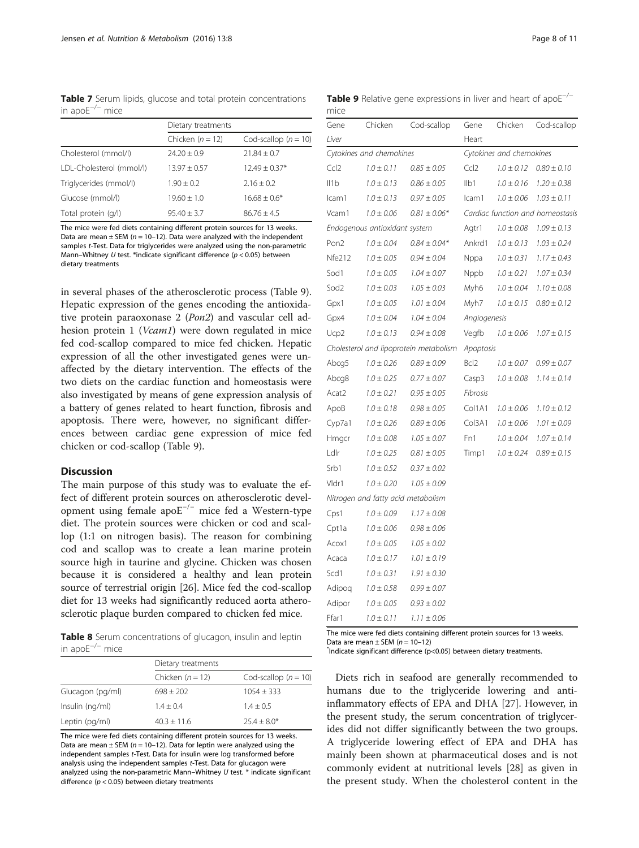<span id="page-7-0"></span>Table 7 Serum lipids, glucose and total protein concentrations in apoE−/<sup>−</sup> mice

|                          | Dietary treatments |                          |  |
|--------------------------|--------------------|--------------------------|--|
|                          | Chicken $(n = 12)$ | Cod-scallop ( $n = 10$ ) |  |
| Cholesterol (mmol/l)     | $74.20 + 0.9$      | $21.84 + 0.7$            |  |
| LDL-Cholesterol (mmol/l) | $13.97 + 0.57$     | $12.49 + 0.37*$          |  |
| Triglycerides (mmol/l)   | $1.90 + 0.2$       | $2.16 + 0.2$             |  |
| Glucose (mmol/l)         | $19.60 + 1.0$      | $16.68 + 0.6*$           |  |
| Total protein (g/l)      | $95.40 + 3.7$      | $86.76 + 4.5$            |  |

The mice were fed diets containing different protein sources for 13 weeks. Data are mean  $\pm$  SEM (n = 10–12). Data were analyzed with the independent samples t-Test. Data for triglycerides were analyzed using the non-parametric Mann–Whitney U test. \*indicate significant difference ( $p < 0.05$ ) between dietary treatments

in several phases of the atherosclerotic process (Table 9). Hepatic expression of the genes encoding the antioxidative protein paraoxonase 2 (Pon2) and vascular cell adhesion protein 1 (*Vcam1*) were down regulated in mice fed cod-scallop compared to mice fed chicken. Hepatic expression of all the other investigated genes were unaffected by the dietary intervention. The effects of the two diets on the cardiac function and homeostasis were also investigated by means of gene expression analysis of a battery of genes related to heart function, fibrosis and apoptosis. There were, however, no significant differences between cardiac gene expression of mice fed chicken or cod-scallop (Table 9).

#### **Discussion**

The main purpose of this study was to evaluate the effect of different protein sources on atherosclerotic development using female apoE−/<sup>−</sup> mice fed a Western-type diet. The protein sources were chicken or cod and scallop (1:1 on nitrogen basis). The reason for combining cod and scallop was to create a lean marine protein source high in taurine and glycine. Chicken was chosen because it is considered a healthy and lean protein source of terrestrial origin [[26](#page-9-0)]. Mice fed the cod-scallop diet for 13 weeks had significantly reduced aorta atherosclerotic plaque burden compared to chicken fed mice.

Table 8 Serum concentrations of glucagon, insulin and leptin in apoE−/<sup>−</sup> mice

|                  | Dietary treatments |                        |  |
|------------------|--------------------|------------------------|--|
|                  | Chicken $(n = 12)$ | Cod-scallop $(n = 10)$ |  |
| Glucagon (pg/ml) | $698 \pm 202$      | $1054 + 333$           |  |
| Insulin (ng/ml)  | $1.4 + 0.4$        | $1.4 + 0.5$            |  |
| Leptin (pg/ml)   | $40.3 + 11.6$      | $25.4 \pm 8.0*$        |  |

The mice were fed diets containing different protein sources for 13 weeks. Data are mean  $\pm$  SEM (n = 10-12). Data for leptin were analyzed using the independent samples t-Test. Data for insulin were log transformed before analysis using the independent samples t-Test. Data for glucagon were analyzed using the non-parametric Mann–Whitney  $U$  test.  $*$  indicate significant difference ( $p < 0.05$ ) between dietary treatments

Table 9 Relative gene expressions in liver and heart of apoE<sup>−/−</sup> mice

| Gene                     | Chicken                            | Cod-scallop                            | Gene              | Chicken        | Cod-scallop                      |
|--------------------------|------------------------------------|----------------------------------------|-------------------|----------------|----------------------------------|
| Liver                    |                                    |                                        | Heart             |                |                                  |
| Cytokines and chemokines |                                    | Cytokines and chemokines               |                   |                |                                  |
| Ccl <sub>2</sub>         | $1.0 \pm 0.11$                     | $0.85 \pm 0.05$                        | Ccl2              | $1.0 \pm 0.12$ | $0.80 \pm 0.10$                  |
| 11b                      | $1.0 \pm 0.13$                     | $0.86 \pm 0.05$                        | I <sub>1</sub>    | $1.0 \pm 0.16$ | $1.20 \pm 0.38$                  |
| Icam1                    | $1.0 \pm 0.13$                     | $0.97 \pm 0.05$                        | Icam1             | $1.0 \pm 0.06$ | $1.03 \pm 0.11$                  |
| Vcam1                    | $1.0 \pm 0.06$                     | $0.81 \pm 0.06*$                       |                   |                | Cardiac function and homeostasis |
|                          | Endogenous antioxidant system      |                                        | Agtr1             | $1.0 \pm 0.08$ | $1.09 \pm 0.13$                  |
| Pon <sub>2</sub>         | $1.0 \pm 0.04$                     | $0.84 \pm 0.04*$                       | Ankrd1            | $1.0 \pm 0.13$ | $1.03 \pm 0.24$                  |
| Nfe212                   | $1.0 \pm 0.05$                     | $0.94 \pm 0.04$                        | Nppa              | $1.0 \pm 0.31$ | $1.17 \pm 0.43$                  |
| Sod1                     | $1.0 \pm 0.05$                     | $1.04 \pm 0.07$                        | Nppb              | $1.0 \pm 0.21$ | $1.07 \pm 0.34$                  |
| Sod <sub>2</sub>         | $1.0 \pm 0.03$                     | $1.05 \pm 0.03$                        | Myh6              | $1.0 \pm 0.04$ | $1.10 \pm 0.08$                  |
| Gpx1                     | $1.0 \pm 0.05$                     | $1.01 \pm 0.04$                        | Myh7              | $1.0 \pm 0.15$ | $0.80 \pm 0.12$                  |
| Gpx4                     | $1.0 \pm 0.04$                     | $1.04 \pm 0.04$                        | Angiogenesis      |                |                                  |
| Ucp2                     | $1.0 \pm 0.13$                     | $0.94 \pm 0.08$                        | Vegfb             | $1.0 \pm 0.06$ | $1.07 \pm 0.15$                  |
|                          |                                    | Cholesterol and lipoprotein metabolism | Apoptosis         |                |                                  |
| Abcg5                    | $1.0 \pm 0.26$                     | $0.89 \pm 0.09$                        | Bcl <sub>2</sub>  | $1.0 \pm 0.07$ | $0.99 \pm 0.07$                  |
| Abcg8                    | $1.0 \pm 0.25$                     | $0.77 \pm 0.07$                        | Casp <sub>3</sub> | $1.0 \pm 0.08$ | $1.14 \pm 0.14$                  |
| Acat2                    | $1.0 \pm 0.21$                     | $0.95 \pm 0.05$                        | Fibrosis          |                |                                  |
| ApoB                     | $1.0 \pm 0.18$                     | $0.98 \pm 0.05$                        | Col1A1            | $1.0 \pm 0.06$ | $1.10 \pm 0.12$                  |
| Cyp7a1                   | $1.0 \pm 0.26$                     | $0.89 \pm 0.06$                        | Col3A1            | $1.0 \pm 0.06$ | $1.01 \pm 0.09$                  |
| Hmgcr                    | $1.0 \pm 0.08$                     | $1.05 \pm 0.07$                        | Fn1               | $1.0 \pm 0.04$ | $1.07 \pm 0.14$                  |
| Ldlr                     | $1.0 \pm 0.25$                     | $0.81 \pm 0.05$                        | Timp1             | $1.0 \pm 0.24$ | $0.89 \pm 0.15$                  |
| Srb1                     | $1.0 \pm 0.52$                     | $0.37 \pm 0.02$                        |                   |                |                                  |
| Vldr1                    | $1.0 \pm 0.20$                     | $1.05 \pm 0.09$                        |                   |                |                                  |
|                          | Nitrogen and fatty acid metabolism |                                        |                   |                |                                  |
| Cps1                     | $1.0 \pm 0.09$                     | $1.17 \pm 0.08$                        |                   |                |                                  |
| Cpt1a                    | $1.0 \pm 0.06$                     | $0.98 \pm 0.06$                        |                   |                |                                  |
| Acox1                    | $1.0 \pm 0.05$                     | $1.05 \pm 0.02$                        |                   |                |                                  |
| Acaca                    | $1.0 \pm 0.17$                     | $1.01 \pm 0.19$                        |                   |                |                                  |
| Scd1                     | $1.0 \pm 0.31$                     | $1.91 \pm 0.30$                        |                   |                |                                  |
| Adipoq                   | $1.0 \pm 0.58$                     | $0.99 \pm 0.07$                        |                   |                |                                  |
| Adipor                   | $1.0 \pm 0.05$                     | $0.93 \pm 0.02$                        |                   |                |                                  |
| Ffar1                    | $1.0 \pm 0.11$                     | $1.11 \pm 0.06$                        |                   |                |                                  |

The mice were fed diets containing different protein sources for 13 weeks. Data are mean  $\pm$  SEM ( $n = 10-12$ )

Indicate significant difference (p<0.05) between dietary treatments.

Diets rich in seafood are generally recommended to humans due to the triglyceride lowering and antiinflammatory effects of EPA and DHA [[27\]](#page-9-0). However, in the present study, the serum concentration of triglycerides did not differ significantly between the two groups. A triglyceride lowering effect of EPA and DHA has mainly been shown at pharmaceutical doses and is not commonly evident at nutritional levels [\[28\]](#page-9-0) as given in the present study. When the cholesterol content in the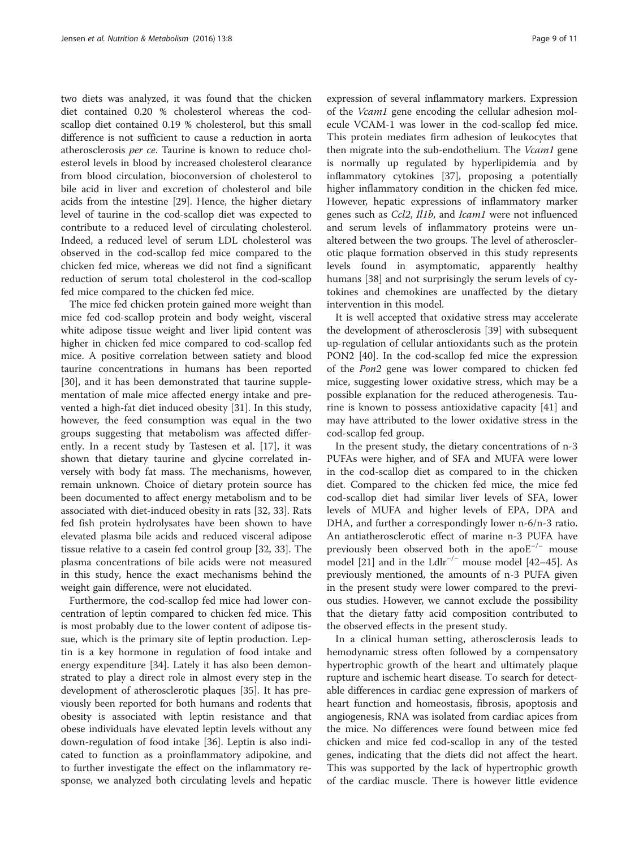two diets was analyzed, it was found that the chicken diet contained 0.20 % cholesterol whereas the codscallop diet contained 0.19 % cholesterol, but this small difference is not sufficient to cause a reduction in aorta atherosclerosis per ce. Taurine is known to reduce cholesterol levels in blood by increased cholesterol clearance from blood circulation, bioconversion of cholesterol to bile acid in liver and excretion of cholesterol and bile acids from the intestine [\[29\]](#page--1-0). Hence, the higher dietary level of taurine in the cod-scallop diet was expected to contribute to a reduced level of circulating cholesterol. Indeed, a reduced level of serum LDL cholesterol was observed in the cod-scallop fed mice compared to the chicken fed mice, whereas we did not find a significant reduction of serum total cholesterol in the cod-scallop fed mice compared to the chicken fed mice.

The mice fed chicken protein gained more weight than mice fed cod-scallop protein and body weight, visceral white adipose tissue weight and liver lipid content was higher in chicken fed mice compared to cod-scallop fed mice. A positive correlation between satiety and blood taurine concentrations in humans has been reported [[30\]](#page--1-0), and it has been demonstrated that taurine supplementation of male mice affected energy intake and prevented a high-fat diet induced obesity [\[31](#page--1-0)]. In this study, however, the feed consumption was equal in the two groups suggesting that metabolism was affected differently. In a recent study by Tastesen et al. [\[17](#page-9-0)], it was shown that dietary taurine and glycine correlated inversely with body fat mass. The mechanisms, however, remain unknown. Choice of dietary protein source has been documented to affect energy metabolism and to be associated with diet-induced obesity in rats [[32, 33\]](#page--1-0). Rats fed fish protein hydrolysates have been shown to have elevated plasma bile acids and reduced visceral adipose tissue relative to a casein fed control group [\[32, 33\]](#page--1-0). The plasma concentrations of bile acids were not measured in this study, hence the exact mechanisms behind the weight gain difference, were not elucidated.

Furthermore, the cod-scallop fed mice had lower concentration of leptin compared to chicken fed mice. This is most probably due to the lower content of adipose tissue, which is the primary site of leptin production. Leptin is a key hormone in regulation of food intake and energy expenditure [[34\]](#page--1-0). Lately it has also been demonstrated to play a direct role in almost every step in the development of atherosclerotic plaques [[35\]](#page--1-0). It has previously been reported for both humans and rodents that obesity is associated with leptin resistance and that obese individuals have elevated leptin levels without any down-regulation of food intake [\[36\]](#page--1-0). Leptin is also indicated to function as a proinflammatory adipokine, and to further investigate the effect on the inflammatory response, we analyzed both circulating levels and hepatic

expression of several inflammatory markers. Expression of the Vcam1 gene encoding the cellular adhesion molecule VCAM-1 was lower in the cod-scallop fed mice. This protein mediates firm adhesion of leukocytes that then migrate into the sub-endothelium. The Vcam1 gene is normally up regulated by hyperlipidemia and by inflammatory cytokines [[37\]](#page--1-0), proposing a potentially higher inflammatory condition in the chicken fed mice. However, hepatic expressions of inflammatory marker genes such as Ccl2, Il1b, and Icam1 were not influenced and serum levels of inflammatory proteins were unaltered between the two groups. The level of atherosclerotic plaque formation observed in this study represents levels found in asymptomatic, apparently healthy humans [\[38](#page--1-0)] and not surprisingly the serum levels of cytokines and chemokines are unaffected by the dietary intervention in this model.

It is well accepted that oxidative stress may accelerate the development of atherosclerosis [[39\]](#page--1-0) with subsequent up-regulation of cellular antioxidants such as the protein PON2 [[40\]](#page--1-0). In the cod-scallop fed mice the expression of the Pon2 gene was lower compared to chicken fed mice, suggesting lower oxidative stress, which may be a possible explanation for the reduced atherogenesis. Taurine is known to possess antioxidative capacity [[41\]](#page--1-0) and may have attributed to the lower oxidative stress in the cod-scallop fed group.

In the present study, the dietary concentrations of n-3 PUFAs were higher, and of SFA and MUFA were lower in the cod-scallop diet as compared to in the chicken diet. Compared to the chicken fed mice, the mice fed cod-scallop diet had similar liver levels of SFA, lower levels of MUFA and higher levels of EPA, DPA and DHA, and further a correspondingly lower n-6/n-3 ratio. An antiatherosclerotic effect of marine n-3 PUFA have previously been observed both in the apoE−/<sup>−</sup> mouse model [[21\]](#page-9-0) and in the Ldlr<sup>-/-</sup> mouse model [\[42](#page--1-0)–[45\]](#page--1-0). As previously mentioned, the amounts of n-3 PUFA given in the present study were lower compared to the previous studies. However, we cannot exclude the possibility that the dietary fatty acid composition contributed to the observed effects in the present study.

In a clinical human setting, atherosclerosis leads to hemodynamic stress often followed by a compensatory hypertrophic growth of the heart and ultimately plaque rupture and ischemic heart disease. To search for detectable differences in cardiac gene expression of markers of heart function and homeostasis, fibrosis, apoptosis and angiogenesis, RNA was isolated from cardiac apices from the mice. No differences were found between mice fed chicken and mice fed cod-scallop in any of the tested genes, indicating that the diets did not affect the heart. This was supported by the lack of hypertrophic growth of the cardiac muscle. There is however little evidence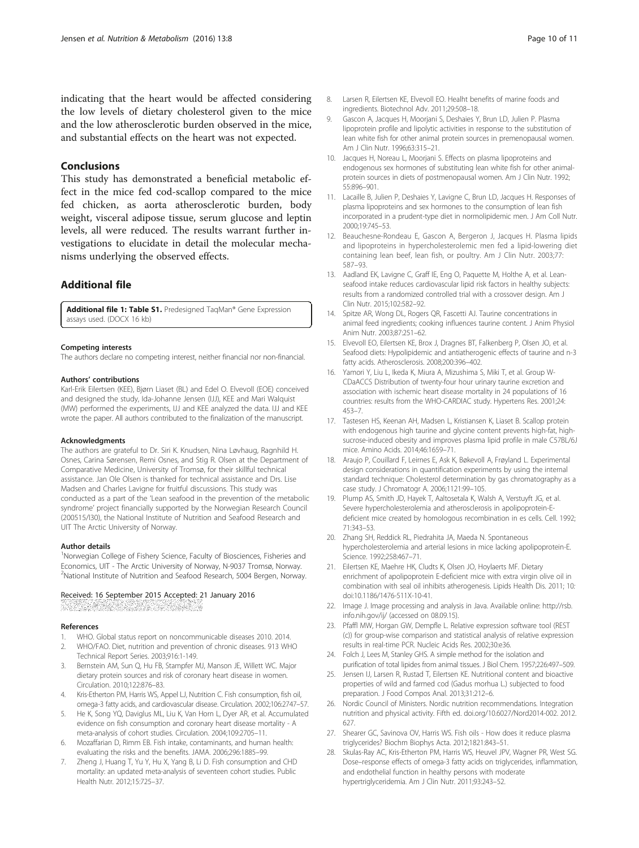<span id="page-9-0"></span>indicating that the heart would be affected considering the low levels of dietary cholesterol given to the mice and the low atherosclerotic burden observed in the mice, and substantial effects on the heart was not expected.

#### **Conclusions**

This study has demonstrated a beneficial metabolic effect in the mice fed cod-scallop compared to the mice fed chicken, as aorta atherosclerotic burden, body weight, visceral adipose tissue, serum glucose and leptin levels, all were reduced. The results warrant further investigations to elucidate in detail the molecular mechanisms underlying the observed effects.

# Additional file

[Additional file 1: Table S1.](dx.doi.org/10.1186/s12986-016-0068-z) Predesigned TaqMan® Gene Expression assays used. (DOCX 16 kb)

#### Competing interests

The authors declare no competing interest, neither financial nor non-financial.

#### Authors' contributions

Karl-Erik Eilertsen (KEE), Bjørn Liaset (BL) and Edel O. Elvevoll (EOE) conceived and designed the study, Ida-Johanne Jensen (IJJ), KEE and Mari Walquist (MW) performed the experiments, IJJ and KEE analyzed the data. IJJ and KEE wrote the paper. All authors contributed to the finalization of the manuscript.

#### Acknowledgments

The authors are grateful to Dr. Siri K. Knudsen, Nina Løvhaug, Ragnhild H. Osnes, Carina Sørensen, Remi Osnes, and Stig R. Olsen at the Department of Comparative Medicine, University of Tromsø, for their skillful technical assistance. Jan Ole Olsen is thanked for technical assistance and Drs. Lise Madsen and Charles Lavigne for fruitful discussions. This study was conducted as a part of the 'Lean seafood in the prevention of the metabolic syndrome' project financially supported by the Norwegian Research Council (200515/I30), the National Institute of Nutrition and Seafood Research and UIT The Arctic University of Norway.

#### Author details

<sup>1</sup>Norwegian College of Fishery Science, Faculty of Biosciences, Fisheries and Economics, UIT - The Arctic University of Norway, N-9037 Tromsø, Norway. <sup>2</sup>National Institute of Nutrition and Seafood Research, 5004 Bergen, Norway.

#### Received: 16 September 2015 Accepted: 21 January 2016

#### References

- 1. WHO. Global status report on noncommunicable diseases 2010. 2014. 2. WHO/FAO. Diet, nutrition and prevention of chronic diseases. 913 WHO
- Technical Report Series. 2003;916:1-149. 3. Bernstein AM, Sun Q, Hu FB, Stampfer MJ, Manson JE, Willett WC. Major dietary protein sources and risk of coronary heart disease in women. Circulation. 2010;122:876–83.
- Kris-Etherton PM, Harris WS, Appel LJ, Nutrition C. Fish consumption, fish oil, omega-3 fatty acids, and cardiovascular disease. Circulation. 2002;106:2747–57.
- 5. He K, Song YQ, Daviglus ML, Liu K, Van Horn L, Dyer AR, et al. Accumulated evidence on fish consumption and coronary heart disease mortality - A meta-analysis of cohort studies. Circulation. 2004;109:2705–11.
- Mozaffarian D, Rimm EB. Fish intake, contaminants, and human health: evaluating the risks and the benefits. JAMA. 2006;296:1885–99.
- 7. Zheng J, Huang T, Yu Y, Hu X, Yang B, Li D. Fish consumption and CHD mortality: an updated meta-analysis of seventeen cohort studies. Public Health Nutr. 2012;15:725–37.
- 8. Larsen R, Eilertsen KE, Elvevoll EO. Healht benefits of marine foods and ingredients. Biotechnol Adv. 2011;29:508–18.
- 9. Gascon A, Jacques H, Moorjani S, Deshaies Y, Brun LD, Julien P. Plasma lipoprotein profile and lipolytic activities in response to the substitution of lean white fish for other animal protein sources in premenopausal women. Am J Clin Nutr. 1996;63:315–21.
- 10. Jacques H, Noreau L, Moorjani S. Effects on plasma lipoproteins and endogenous sex hormones of substituting lean white fish for other animalprotein sources in diets of postmenopausal women. Am J Clin Nutr. 1992; 55:896–901.
- 11. Lacaille B, Julien P, Deshaies Y, Lavigne C, Brun LD, Jacques H. Responses of plasma lipoproteins and sex hormones to the consumption of lean fish incorporated in a prudent-type diet in normolipidemic men. J Am Coll Nutr. 2000;19:745–53.
- 12. Beauchesne-Rondeau E, Gascon A, Bergeron J, Jacques H. Plasma lipids and lipoproteins in hypercholesterolemic men fed a lipid-lowering diet containing lean beef, lean fish, or poultry. Am J Clin Nutr. 2003;77: 587–93.
- 13. Aadland EK, Lavigne C, Graff IE, Eng O, Paquette M, Holthe A, et al. Leanseafood intake reduces cardiovascular lipid risk factors in healthy subjects: results from a randomized controlled trial with a crossover design. Am J Clin Nutr. 2015;102:582–92.
- 14. Spitze AR, Wong DL, Rogers QR, Fascetti AJ. Taurine concentrations in animal feed ingredients; cooking influences taurine content. J Anim Physiol Anim Nutr. 2003;87:251–62.
- 15. Elvevoll EO, Eilertsen KE, Brox J, Dragnes BT, Falkenberg P, Olsen JO, et al. Seafood diets: Hypolipidemic and antiatherogenic effects of taurine and n-3 fatty acids. Atherosclerosis. 2008;200:396–402.
- 16. Yamori Y, Liu L, Ikeda K, Miura A, Mizushima S, Miki T, et al. Group W-CDaACCS Distribution of twenty-four hour urinary taurine excretion and association with ischemic heart disease mortality in 24 populations of 16 countries: results from the WHO-CARDIAC study. Hypertens Res. 2001;24: 453–7.
- 17. Tastesen HS, Keenan AH, Madsen L, Kristiansen K, Liaset B. Scallop protein with endogenous high taurine and glycine content prevents high-fat, highsucrose-induced obesity and improves plasma lipid profile in male C57BL/6J mice. Amino Acids. 2014;46:1659–71.
- 18. Araujo P, Couillard F, Leirnes E, Ask K, Bøkevoll A, Frøyland L. Experimental design considerations in quantification experiments by using the internal standard technique: Cholesterol determination by gas chromatography as a case study. J Chromatogr A. 2006;1121:99–105.
- 19. Plump AS, Smith JD, Hayek T, Aaltosetala K, Walsh A, Verstuyft JG, et al. Severe hypercholesterolemia and atherosclerosis in apolipoprotein-Edeficient mice created by homologous recombination in es cells. Cell. 1992; 71:343–53.
- 20. Zhang SH, Reddick RL, Piedrahita JA, Maeda N. Spontaneous hypercholesterolemia and arterial lesions in mice lacking apolipoprotein-E. Science. 1992;258:467–71.
- 21. Eilertsen KE, Maehre HK, Cludts K, Olsen JO, Hoylaerts MF. Dietary enrichment of apolipoprotein E-deficient mice with extra virgin olive oil in combination with seal oil inhibits atherogenesis. Lipids Health Dis. 2011; 10: doi[:10.1186/1476-511X-10-41.](http://dx.doi.org/10.1186/1476-511X-10-41)
- 22. Image J. Image processing and analysis in Java. Available online: [http://rsb.](http://rsb.info.nih.gov/ij/) [info.nih.gov/ij/](http://rsb.info.nih.gov/ij/) (accessed on 08.09.15).
- 23. Pfaffl MW, Horgan GW, Dempfle L. Relative expression software tool (REST (c)) for group-wise comparison and statistical analysis of relative expression results in real-time PCR. Nucleic Acids Res. 2002;30:e36.
- 24. Folch J, Lees M, Stanley GHS. A simple method for the isolation and purification of total lipides from animal tissues. J Biol Chem. 1957;226:497–509.
- 25. Jensen IJ, Larsen R, Rustad T, Eilertsen KE. Nutritional content and bioactive properties of wild and farmed cod (Gadus morhua L.) subjected to food preparation. J Food Compos Anal. 2013;31:212–6.
- 26. Nordic Council of Ministers. Nordic nutrition recommendations. Integration nutrition and physical activity. Fifth ed. doi.org/[10.6027/Nord2014-002](http://dx.doi.org/10.6027/Nord2014-002). 2012. 627.
- 27. Shearer GC, Savinova OV, Harris WS. Fish oils How does it reduce plasma triglycerides? Biochm Biophys Acta. 2012;1821:843–51.
- 28. Skulas-Ray AC, Kris-Etherton PM, Harris WS, Heuvel JPV, Wagner PR, West SG. Dose–response effects of omega-3 fatty acids on triglycerides, inflammation, and endothelial function in healthy persons with moderate hypertriglyceridemia. Am J Clin Nutr. 2011;93:243–52.